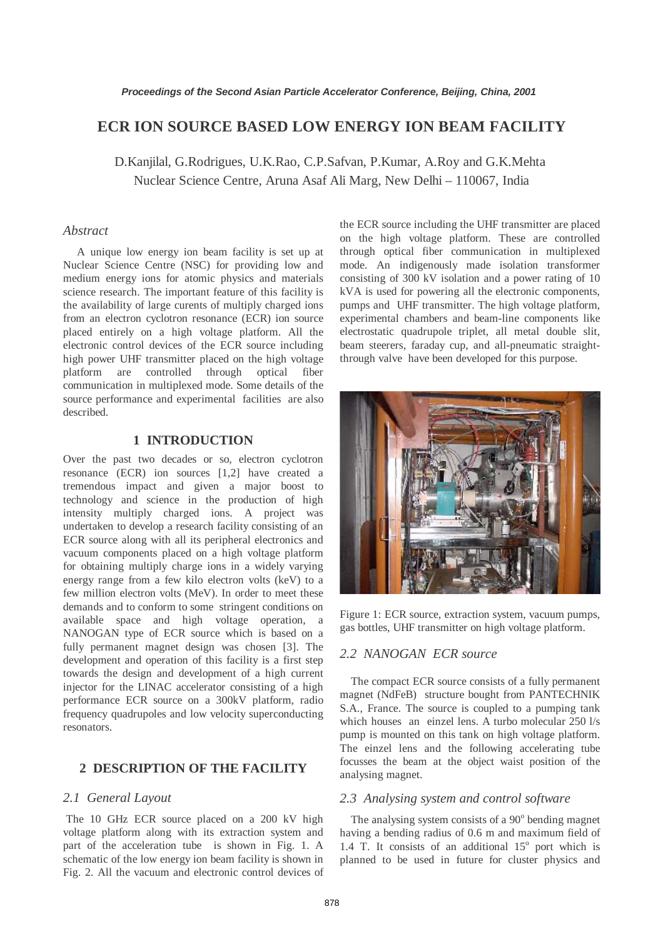# **ECR ION SOURCE BASED LOW ENERGY ION BEAM FACILITY**

D.Kanjilal, G.Rodrigues, U.K.Rao, C.P.Safvan, P.Kumar, A.Roy and G.K.Mehta Nuclear Science Centre, Aruna Asaf Ali Marg, New Delhi – 110067, India

### *Abstract*

 A unique low energy ion beam facility is set up at Nuclear Science Centre (NSC) for providing low and medium energy ions for atomic physics and materials science research. The important feature of this facility is the availability of large curents of multiply charged ions from an electron cyclotron resonance (ECR) ion source placed entirely on a high voltage platform. All the electronic control devices of the ECR source including high power UHF transmitter placed on the high voltage platform are controlled through optical fiber communication in multiplexed mode. Some details of the source performance and experimental facilities are also described.

#### **1 INTRODUCTION**

Over the past two decades or so, electron cyclotron resonance (ECR) ion sources [1,2] have created a tremendous impact and given a major boost to technology and science in the production of high intensity multiply charged ions. A project was undertaken to develop a research facility consisting of an ECR source along with all its peripheral electronics and vacuum components placed on a high voltage platform for obtaining multiply charge ions in a widely varying energy range from a few kilo electron volts (keV) to a few million electron volts (MeV). In order to meet these demands and to conform to some stringent conditions on available space and high voltage operation, a NANOGAN type of ECR source which is based on a fully permanent magnet design was chosen [3]. The development and operation of this facility is a first step towards the design and development of a high current injector for the LINAC accelerator consisting of a high performance ECR source on a 300kV platform, radio frequency quadrupoles and low velocity superconducting resonators.

# **2 DESCRIPTION OF THE FACILITY**

#### *2.1 General Layout*

 The 10 GHz ECR source placed on a 200 kV high voltage platform along with its extraction system and part of the acceleration tube is shown in Fig. 1. A schematic of the low energy ion beam facility is shown in Fig. 2. All the vacuum and electronic control devices of the ECR source including the UHF transmitter are placed on the high voltage platform. These are controlled through optical fiber communication in multiplexed mode. An indigenously made isolation transformer consisting of 300 kV isolation and a power rating of 10 kVA is used for powering all the electronic components, pumps and UHF transmitter. The high voltage platform, experimental chambers and beam-line components like electrostatic quadrupole triplet, all metal double slit, beam steerers, faraday cup, and all-pneumatic straightthrough valve have been developed for this purpose.



Figure 1: ECR source, extraction system, vacuum pumps, gas bottles, UHF transmitter on high voltage platform.

#### *2.2 NANOGAN ECR source*

The compact ECR source consists of a fully permanent magnet (NdFeB) structure bought from PANTECHNIK S.A., France. The source is coupled to a pumping tank which houses an einzel lens. A turbo molecular 250 l/s pump is mounted on this tank on high voltage platform. The einzel lens and the following accelerating tube focusses the beam at the object waist position of the analysing magnet.

### *2.3 Analysing system and control software*

The analysing system consists of a  $90^\circ$  bending magnet having a bending radius of 0.6 m and maximum field of 1.4 T. It consists of an additional  $15^{\circ}$  port which is planned to be used in future for cluster physics and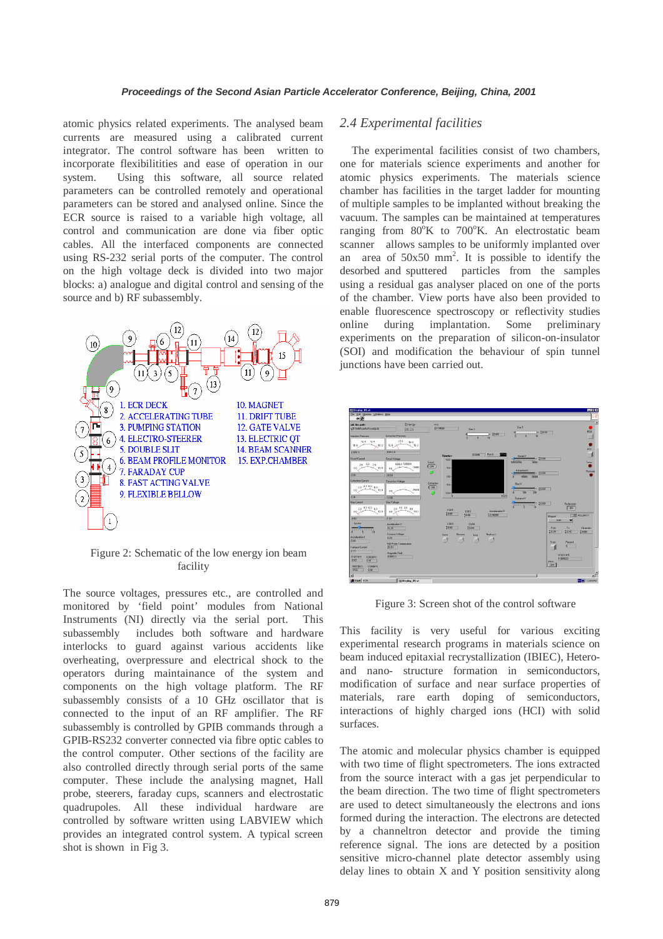atomic physics related experiments. The analysed beam currents are measured using a calibrated current integrator. The control software has been written to incorporate flexibilitities and ease of operation in our system. Using this software, all source related parameters can be controlled remotely and operational parameters can be stored and analysed online. Since the ECR source is raised to a variable high voltage, all control and communication are done via fiber optic cables. All the interfaced components are connected using RS-232 serial ports of the computer. The control on the high voltage deck is divided into two major blocks: a) analogue and digital control and sensing of the source and b) RF subassembly.



Figure 2: Schematic of the low energy ion beam facility

The source voltages, pressures etc., are controlled and monitored by 'field point' modules from National Instruments (NI) directly via the serial port. This subassembly includes both software and hardware interlocks to guard against various accidents like overheating, overpressure and electrical shock to the operators during maintainance of the system and components on the high voltage platform. The RF subassembly consists of a 10 GHz oscillator that is connected to the input of an RF amplifier. The RF subassembly is controlled by GPIB commands through a GPIB-RS232 converter connected via fibre optic cables to the control computer. Other sections of the facility are also controlled directly through serial ports of the same computer. These include the analysing magnet, Hall probe, steerers, faraday cups, scanners and electrostatic quadrupoles. All these individual hardware are controlled by software written using LABVIEW which provides an integrated control system. A typical screen shot is shown in Fig 3.

# *2.4 Experimental facilities*

 The experimental facilities consist of two chambers, one for materials science experiments and another for atomic physics experiments. The materials science chamber has facilities in the target ladder for mounting of multiple samples to be implanted without breaking the vacuum. The samples can be maintained at temperatures ranging from  $80^{\circ}K$  to  $700^{\circ}K$ . An electrostatic beam scanner allows samples to be uniformly implanted over an area of  $50x50$  mm<sup>2</sup>. It is possible to identify the desorbed and sputtered particles from the samples using a residual gas analyser placed on one of the ports of the chamber. View ports have also been provided to enable fluorescence spectroscopy or reflectivity studies online during implantation. Some preliminary experiments on the preparation of silicon-on-insulator (SOI) and modification the behaviour of spin tunnel junctions have been carried out.



Figure 3: Screen shot of the control software

This facility is very useful for various exciting experimental research programs in materials science on beam induced epitaxial recrystallization (IBIEC), Heteroand nano- structure formation in semiconductors, modification of surface and near surface properties of materials, rare earth doping of semiconductors, interactions of highly charged ions (HCI) with solid surfaces.

The atomic and molecular physics chamber is equipped with two time of flight spectrometers. The ions extracted from the source interact with a gas jet perpendicular to the beam direction. The two time of flight spectrometers are used to detect simultaneously the electrons and ions formed during the interaction. The electrons are detected by a channeltron detector and provide the timing reference signal. The ions are detected by a position sensitive micro-channel plate detector assembly using delay lines to obtain X and Y position sensitivity along